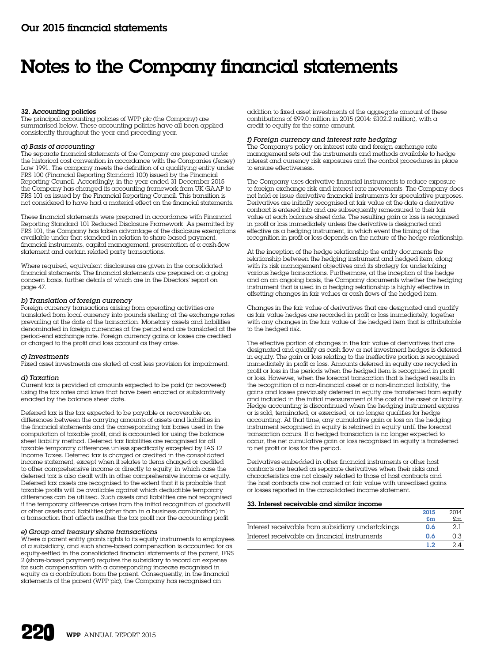# Notes to the Company financial statements

# 32. Accounting policies

The principal accounting policies of WPP plc (the Company) are summarised below. These accounting policies have all been applied consistently throughout the year and preceding year.

## *a) Basis of accounting*

The separate financial statements of the Company are prepared under the historical cost convention in accordance with the Companies (Jersey) Law 1991. The company meets the definition of  $\alpha$  qualifying entity under FRS 100 (Financial Reporting Standard 100) issued by the Financial Reporting Council. Accordingly, in the year ended 31 December 2015 the Company has changed its accounting framework from UK GAAP to FRS 101 as issued by the Financial Reporting Council. This transition is not considered to have had a material effect on the financial statements.

These financial statements were prepared in accordance with Financial Reporting Standard 101 Reduced Disclosure Framework. As permitted by FRS 101, the Company has taken advantage of the disclosure exemptions available under that standard in relation to share-based payment, financial instruments, capital management, presentation of a cash-flow statement and certain related party transactions.

Where required, equivalent disclosures are given in the consolidated financial statements. The financial statements are prepared on a going concern basis, further details of which are in the Directors' report on page 47.

## *b) Translation of foreign currency*

Foreign currency transactions arising from operating activities are translated from local currency into pounds sterling at the exchange rates prevailing at the date of the transaction. Monetary assets and liabilities denominated in foreign currencies at the period end are translated at the period-end exchange rate. Foreign currency gains or losses are credited or charged to the profit and loss account as they arise.

## *c) Investments*

Fixed asset investments are stated at cost less provision for impairment.

## *d) Taxation*

Current tax is provided at amounts expected to be paid (or recovered) using the tax rates and laws that have been enacted or substantively enacted by the balance sheet date.

Deferred tax is the tax expected to be payable or recoverable on differences between the carrying amounts of assets and liabilities in the financial statements and the corresponding tax bases used in the computation of taxable profit, and is accounted for using the balance sheet liability method. Deferred tax liabilities are recognised for all taxable temporary differences unless specifically excepted by IAS 12 Income Taxes. Deferred tax is charged or credited in the consolidated income statement, except when it relates to items charged or credited to other comprehensive income or directly to equity, in which case the deferred tax is also dealt with in other comprehensive income or equity. Deferred tax assets are recognised to the extent that it is probable that taxable profits will be available against which deductible temporary differences can be utilised. Such assets and liabilities are not recognised if the temporary difference arises from the initial recognition of goodwill or other assets and liabilities (other than in a business combination) in a transaction that affects neither the tax profit nor the accounting profit.

## *e) Group and treasury share transactions*

Where a parent entity grants rights to its equity instruments to employees of a subsidiary, and such share-based compensation is accounted for as equity-settled in the consolidated financial statements of the parent, IFRS 2 (share-based payment) requires the subsidiary to record an expense for such compensation with  $\alpha$  corresponding increase recognised in equity as a contribution from the parent. Consequently, in the financial statements of the parent (WPP plc), the Company has recognised an

addition to fixed asset investments of the aggregate amount of these contributions of £99.0 million in 2015 (2014: £102.2 million), with  $\alpha$ credit to equity for the same amount.

## *f) Foreign currency and interest rate hedging*

The Company's policy on interest rate and foreign exchange rate management sets out the instruments and methods available to hedge interest and currency risk exposures and the control procedures in place to ensure effectiveness.

The Company uses derivative financial instruments to reduce exposure to foreign exchange risk and interest rate movements. The Company does not hold or issue derivative financial instruments for speculative purposes. Derivatives are initially recognised at fair value at the date a derivative contract is entered into and are subsequently remeasured to their fair value at each balance sheet date. The resulting gain or loss is recognised in profit or loss immediately unless the derivative is designated and effective as a hedging instrument, in which event the timing of the recognition in profit or loss depends on the nature of the hedge relationship.

At the inception of the hedge relationship the entity documents the relationship between the hedging instrument and hedged item, along with its risk management objectives and its strategy for undertaking various hedge transactions. Furthermore, at the inception of the hedge and on an ongoing basis, the Company documents whether the hedging instrument that is used in a hedging relationship is highly effective in offsetting changes in fair values or cash flows of the hedged item.

Changes in the fair value of derivatives that are designated and qualify as fair value hedges are recorded in profit or loss immediately, together with any changes in the fair value of the hedged item that is attributable to the hedged risk.

The effective portion of changes in the fair value of derivatives that are designated and qualify as cash flow or net investment hedges is deferred in equity. The gain or loss relating to the ineffective portion is recognised immediately in profit or loss. Amounts deferred in equity are recycled in profit or loss in the periods when the hedged item is recognised in profit or loss. However, when the forecast transaction that is hedged results in the recognition of a non-financial asset or a non-financial liability, the gains and losses previously deferred in equity are transferred from equity and included in the initial measurement of the cost of the asset or liability. Hedge accounting is discontinued when the hedging instrument expires or is sold, terminated, or exercised, or no longer qualifies for hedge accounting. At that time, any cumulative gain or loss on the hedging instrument recognised in equity is retained in equity until the forecast transaction occurs. If a hedged transaction is no longer expected to occur, the net cumulative gain or loss recognised in equity is transferred to net profit or loss for the period.

Derivatives embedded in other financial instruments or other host contracts are treated as separate derivatives when their risks and characteristics are not closely related to those of host contracts and the host contracts are not carried at fair value with unrealised gains or losses reported in the consolidated income statement.

## 33. Interest receivable and similar income

|                                                  | 2015 | 2014 |
|--------------------------------------------------|------|------|
|                                                  | £m   | £m   |
| Interest receivable from subsidiary undertakings | 0.6  | 2.1  |
| Interest receivable on financial instruments     | 0.6  |      |
|                                                  | כ ו  |      |